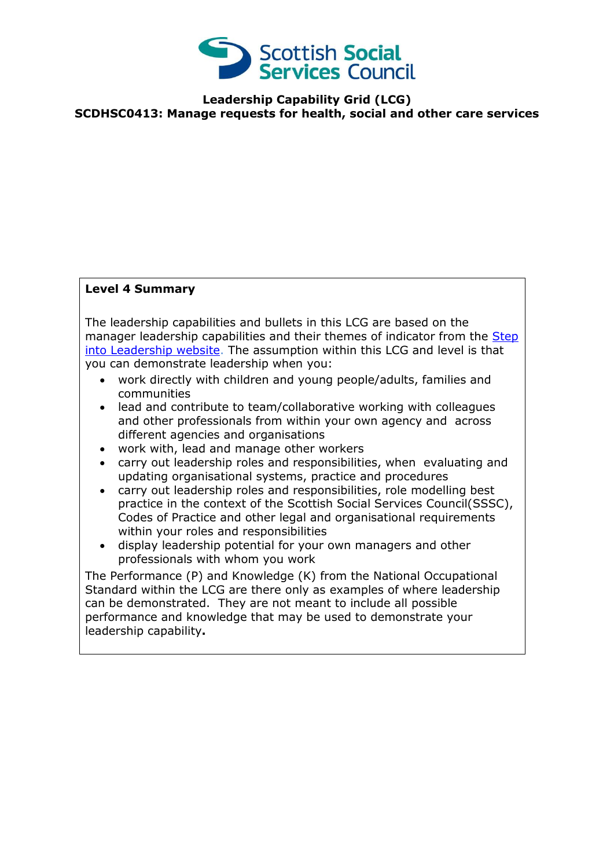

**Leadership Capability Grid (LCG) SCDHSC0413: Manage requests for health, social and other care services**

## **Level 4 Summary**

The leadership capabilities and bullets in this LCG are based on the manager leadership capabilities and their themes of indicator from the Step [into Leadership website.](http://www.stepintoleadership.info/) The assumption within this LCG and level is that you can demonstrate leadership when you:

- work directly with children and young people/adults, families and communities
- lead and contribute to team/collaborative working with colleagues and other professionals from within your own agency and across different agencies and organisations
- work with, lead and manage other workers
- carry out leadership roles and responsibilities, when evaluating and updating organisational systems, practice and procedures
- carry out leadership roles and responsibilities, role modelling best practice in the context of the Scottish Social Services Council(SSSC), Codes of Practice and other legal and organisational requirements within your roles and responsibilities
- display leadership potential for your own managers and other professionals with whom you work

The Performance (P) and Knowledge (K) from the National Occupational Standard within the LCG are there only as examples of where leadership can be demonstrated. They are not meant to include all possible performance and knowledge that may be used to demonstrate your leadership capability**.**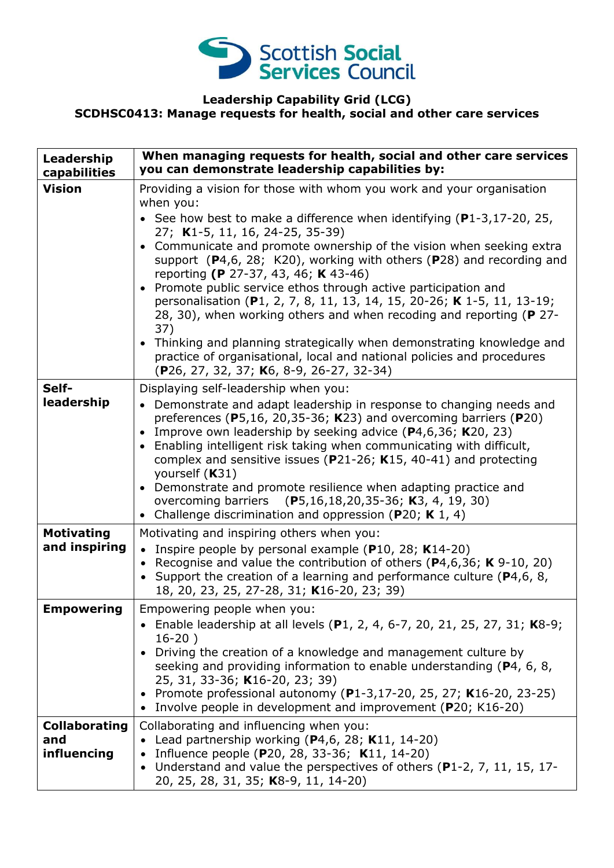

## **Leadership Capability Grid (LCG) SCDHSC0413: Manage requests for health, social and other care services**

| Leadership<br>capabilities                 | When managing requests for health, social and other care services<br>you can demonstrate leadership capabilities by:                                                                                                                                                                                                                                                                                                                                                                                                                                                                                                                                                                                                                                                                                                               |
|--------------------------------------------|------------------------------------------------------------------------------------------------------------------------------------------------------------------------------------------------------------------------------------------------------------------------------------------------------------------------------------------------------------------------------------------------------------------------------------------------------------------------------------------------------------------------------------------------------------------------------------------------------------------------------------------------------------------------------------------------------------------------------------------------------------------------------------------------------------------------------------|
| <b>Vision</b>                              | Providing a vision for those with whom you work and your organisation<br>when you:<br>• See how best to make a difference when identifying $(P1-3, 17-20, 25,$<br>27; K1-5, 11, 16, 24-25, 35-39)<br>Communicate and promote ownership of the vision when seeking extra<br>$\bullet$<br>support $(P4,6, 28; K20)$ , working with others $(P28)$ and recording and<br>reporting (P 27-37, 43, 46; K 43-46)<br>Promote public service ethos through active participation and<br>personalisation (P1, 2, 7, 8, 11, 13, 14, 15, 20-26; K 1-5, 11, 13-19;<br>28, 30), when working others and when recoding and reporting (P 27-<br>37)<br>• Thinking and planning strategically when demonstrating knowledge and<br>practice of organisational, local and national policies and procedures<br>(P26, 27, 32, 37; K6, 8-9, 26-27, 32-34) |
| Self-<br>leadership                        | Displaying self-leadership when you:<br>• Demonstrate and adapt leadership in response to changing needs and<br>preferences ( $P5,16, 20,35-36$ ; K23) and overcoming barriers ( $P20$ )<br>Improve own leadership by seeking advice $(P4, 6, 36; K20, 23)$<br>$\bullet$<br>Enabling intelligent risk taking when communicating with difficult,<br>$\bullet$<br>complex and sensitive issues ( $P$ 21-26; K15, 40-41) and protecting<br>yourself (K31)<br>Demonstrate and promote resilience when adapting practice and<br>$\bullet$<br>overcoming barriers (P5,16,18,20,35-36; K3, 4, 19, 30)<br>Challenge discrimination and oppression (P20; K 1, 4)                                                                                                                                                                            |
| <b>Motivating</b><br>and inspiring         | Motivating and inspiring others when you:<br>• Inspire people by personal example (P10, 28; K14-20)<br>• Recognise and value the contribution of others ( $P$ 4,6,36; K 9-10, 20)<br>• Support the creation of a learning and performance culture ( $P$ 4,6, 8,<br>18, 20, 23, 25, 27-28, 31; K16-20, 23; 39)                                                                                                                                                                                                                                                                                                                                                                                                                                                                                                                      |
| <b>Empowering</b>                          | Empowering people when you:<br>• Enable leadership at all levels (P1, 2, 4, 6-7, 20, 21, 25, 27, 31; K8-9;<br>$16-20)$<br>Driving the creation of a knowledge and management culture by<br>seeking and providing information to enable understanding (P4, 6, 8,<br>25, 31, 33-36; K16-20, 23; 39)<br>• Promote professional autonomy (P1-3,17-20, 25, 27; K16-20, 23-25)<br>Involve people in development and improvement (P20; K16-20)                                                                                                                                                                                                                                                                                                                                                                                            |
| <b>Collaborating</b><br>and<br>influencing | Collaborating and influencing when you:<br>• Lead partnership working ( $P4,6$ , 28; K11, 14-20)<br>Influence people (P20, 28, 33-36; K11, 14-20)<br>Understand and value the perspectives of others (P1-2, 7, 11, 15, 17-<br>$\bullet$<br>20, 25, 28, 31, 35; K8-9, 11, 14-20)                                                                                                                                                                                                                                                                                                                                                                                                                                                                                                                                                    |